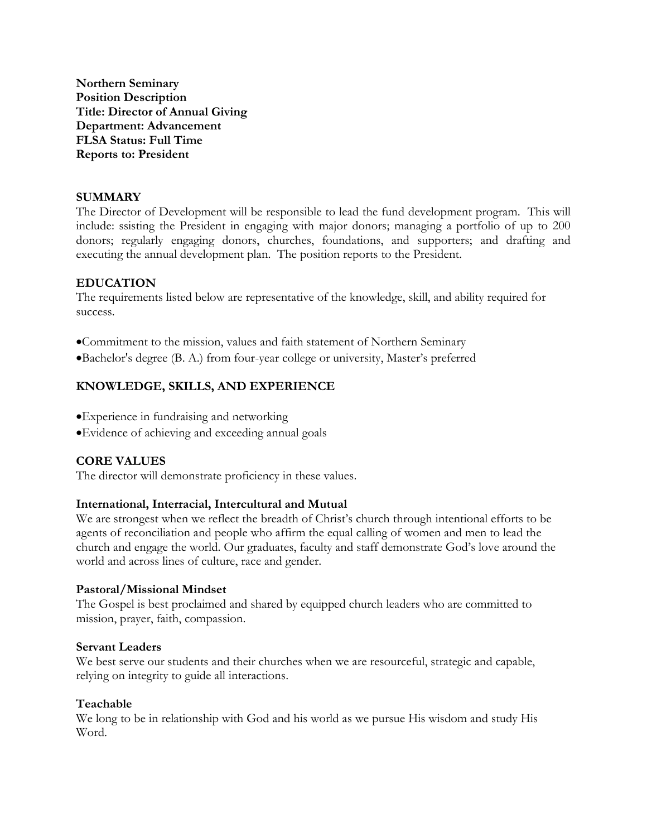**Northern Seminary Position Description Title: Director of Annual Giving Department: Advancement FLSA Status: Full Time Reports to: President**

### **SUMMARY**

The Director of Development will be responsible to lead the fund development program. This will include: ssisting the President in engaging with major donors; managing a portfolio of up to 200 donors; regularly engaging donors, churches, foundations, and supporters; and drafting and executing the annual development plan. The position reports to the President.

### **EDUCATION**

The requirements listed below are representative of the knowledge, skill, and ability required for success.

•Commitment to the mission, values and faith statement of Northern Seminary

•Bachelor's degree (B. A.) from four-year college or university, Master's preferred

## **KNOWLEDGE, SKILLS, AND EXPERIENCE**

- •Experience in fundraising and networking
- •Evidence of achieving and exceeding annual goals

### **CORE VALUES**

The director will demonstrate proficiency in these values.

#### **International, Interracial, Intercultural and Mutual**

We are strongest when we reflect the breadth of Christ's church through intentional efforts to be agents of reconciliation and people who affirm the equal calling of women and men to lead the church and engage the world. Our graduates, faculty and staff demonstrate God's love around the world and across lines of culture, race and gender.

#### **Pastoral/Missional Mindset**

The Gospel is best proclaimed and shared by equipped church leaders who are committed to mission, prayer, faith, compassion.

#### **Servant Leaders**

We best serve our students and their churches when we are resourceful, strategic and capable, relying on integrity to guide all interactions.

## **Teachable**

We long to be in relationship with God and his world as we pursue His wisdom and study His Word.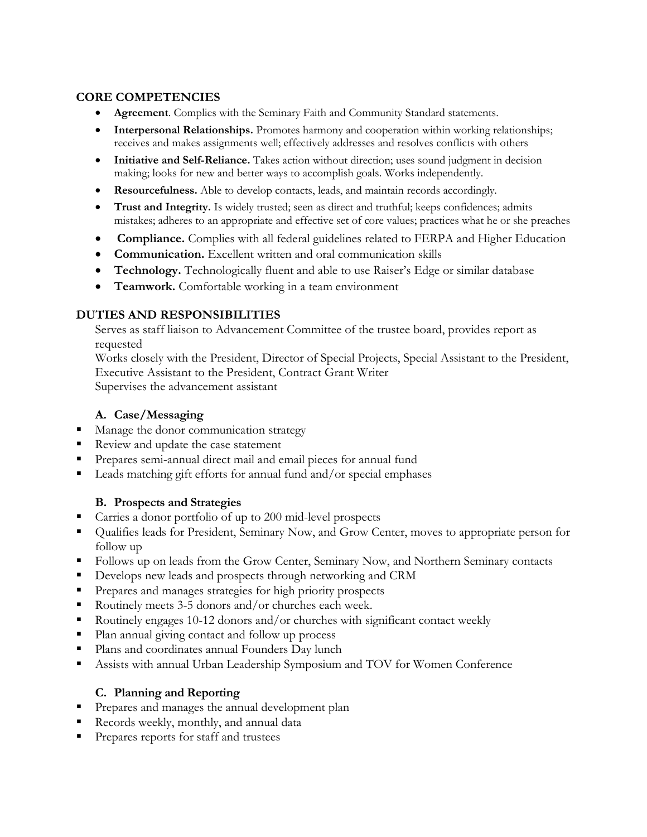## **CORE COMPETENCIES**

- **Agreement**. Complies with the Seminary Faith and Community Standard statements.
- **Interpersonal Relationships.** Promotes harmony and cooperation within working relationships; receives and makes assignments well; effectively addresses and resolves conflicts with others
- **Initiative and Self-Reliance.** Takes action without direction; uses sound judgment in decision making; looks for new and better ways to accomplish goals. Works independently.
- **Resourcefulness.** Able to develop contacts, leads, and maintain records accordingly.
- **Trust and Integrity.** Is widely trusted; seen as direct and truthful; keeps confidences; admits mistakes; adheres to an appropriate and effective set of core values; practices what he or she preaches
- **Compliance.** Complies with all federal guidelines related to FERPA and Higher Education
- **Communication.** Excellent written and oral communication skills
- **Technology.** Technologically fluent and able to use Raiser's Edge or similar database
- **Teamwork.** Comfortable working in a team environment

# **DUTIES AND RESPONSIBILITIES**

Serves as staff liaison to Advancement Committee of the trustee board, provides report as requested

Works closely with the President, Director of Special Projects, Special Assistant to the President, Executive Assistant to the President, Contract Grant Writer Supervises the advancement assistant

# **A. Case/Messaging**

- Manage the donor communication strategy
- Review and update the case statement
- **•** Prepares semi-annual direct mail and email pieces for annual fund
- Leads matching gift efforts for annual fund and/or special emphases

# **B. Prospects and Strategies**

- Carries a donor portfolio of up to 200 mid-level prospects
- Qualifies leads for President, Seminary Now, and Grow Center, moves to appropriate person for follow up
- Follows up on leads from the Grow Center, Seminary Now, and Northern Seminary contacts
- Develops new leads and prospects through networking and CRM
- **•** Prepares and manages strategies for high priority prospects
- Routinely meets 3-5 donors and/or churches each week.
- Routinely engages  $10-12$  donors and/or churches with significant contact weekly
- Plan annual giving contact and follow up process
- Plans and coordinates annual Founders Day lunch
- Assists with annual Urban Leadership Symposium and TOV for Women Conference

# **C. Planning and Reporting**

- **•** Prepares and manages the annual development plan
- Records weekly, monthly, and annual data
- Prepares reports for staff and trustees